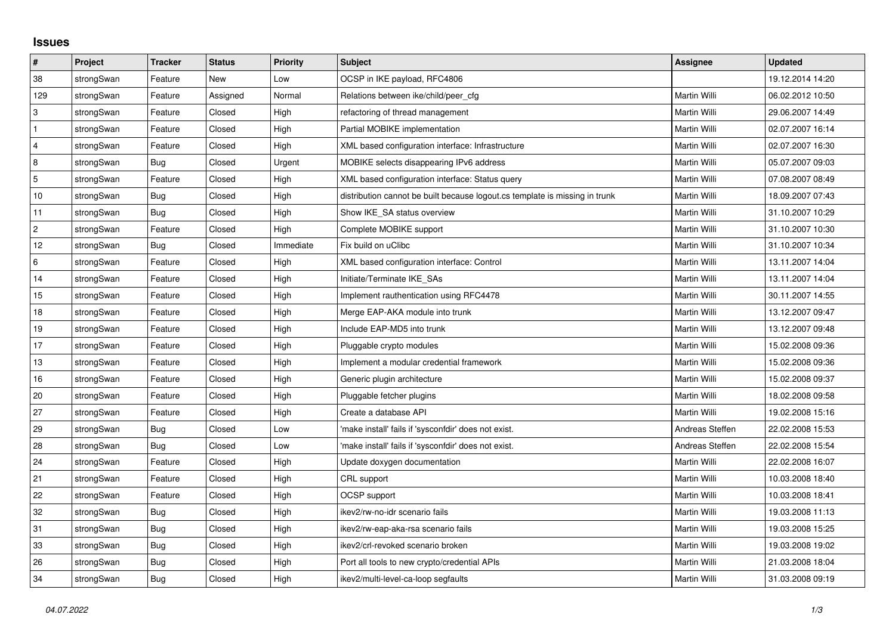## **Issues**

| $\pmb{\#}$     | Project    | <b>Tracker</b> | <b>Status</b> | <b>Priority</b> | <b>Subject</b>                                                              | <b>Assignee</b> | <b>Updated</b>   |
|----------------|------------|----------------|---------------|-----------------|-----------------------------------------------------------------------------|-----------------|------------------|
| 38             | strongSwan | Feature        | <b>New</b>    | Low             | OCSP in IKE payload, RFC4806                                                |                 | 19.12.2014 14:20 |
| 129            | strongSwan | Feature        | Assigned      | Normal          | Relations between ike/child/peer cfg                                        | Martin Willi    | 06.02.2012 10:50 |
| 3              | strongSwan | Feature        | Closed        | High            | refactoring of thread management                                            | Martin Willi    | 29.06.2007 14:49 |
| $\mathbf{1}$   | strongSwan | Feature        | Closed        | High            | Partial MOBIKE implementation                                               | Martin Willi    | 02.07.2007 16:14 |
| $\overline{4}$ | strongSwan | Feature        | Closed        | High            | XML based configuration interface: Infrastructure                           | Martin Willi    | 02.07.2007 16:30 |
| 8              | strongSwan | <b>Bug</b>     | Closed        | Urgent          | MOBIKE selects disappearing IPv6 address                                    | Martin Willi    | 05.07.2007 09:03 |
| 5              | strongSwan | Feature        | Closed        | High            | XML based configuration interface: Status query                             | Martin Willi    | 07.08.2007 08:49 |
| 10             | strongSwan | Bug            | Closed        | High            | distribution cannot be built because logout.cs template is missing in trunk | Martin Willi    | 18.09.2007 07:43 |
| 11             | strongSwan | Bug            | Closed        | High            | Show IKE_SA status overview                                                 | Martin Willi    | 31.10.2007 10:29 |
| $\overline{c}$ | strongSwan | Feature        | Closed        | High            | Complete MOBIKE support                                                     | Martin Willi    | 31.10.2007 10:30 |
| 12             | strongSwan | Bug            | Closed        | Immediate       | Fix build on uClibc                                                         | Martin Willi    | 31.10.2007 10:34 |
| 6              | strongSwan | Feature        | Closed        | High            | XML based configuration interface: Control                                  | Martin Willi    | 13.11.2007 14:04 |
| 14             | strongSwan | Feature        | Closed        | High            | Initiate/Terminate IKE SAs                                                  | Martin Willi    | 13.11.2007 14:04 |
| 15             | strongSwan | Feature        | Closed        | High            | Implement rauthentication using RFC4478                                     | Martin Willi    | 30.11.2007 14:55 |
| 18             | strongSwan | Feature        | Closed        | High            | Merge EAP-AKA module into trunk                                             | Martin Willi    | 13.12.2007 09:47 |
| 19             | strongSwan | Feature        | Closed        | High            | Include EAP-MD5 into trunk                                                  | Martin Willi    | 13.12.2007 09:48 |
| 17             | strongSwan | Feature        | Closed        | High            | Pluggable crypto modules                                                    | Martin Willi    | 15.02.2008 09:36 |
| 13             | strongSwan | Feature        | Closed        | High            | Implement a modular credential framework                                    | Martin Willi    | 15.02.2008 09:36 |
| 16             | strongSwan | Feature        | Closed        | High            | Generic plugin architecture                                                 | Martin Willi    | 15.02.2008 09:37 |
| 20             | strongSwan | Feature        | Closed        | High            | Pluggable fetcher plugins                                                   | Martin Willi    | 18.02.2008 09:58 |
| 27             | strongSwan | Feature        | Closed        | High            | Create a database API                                                       | Martin Willi    | 19.02.2008 15:16 |
| 29             | strongSwan | Bug            | Closed        | Low             | 'make install' fails if 'sysconfdir' does not exist.                        | Andreas Steffen | 22.02.2008 15:53 |
| 28             | strongSwan | Bug            | Closed        | Low             | 'make install' fails if 'sysconfdir' does not exist.                        | Andreas Steffen | 22.02.2008 15:54 |
| 24             | strongSwan | Feature        | Closed        | High            | Update doxygen documentation                                                | Martin Willi    | 22.02.2008 16:07 |
| 21             | strongSwan | Feature        | Closed        | High            | CRL support                                                                 | Martin Willi    | 10.03.2008 18:40 |
| 22             | strongSwan | Feature        | Closed        | High            | OCSP support                                                                | Martin Willi    | 10.03.2008 18:41 |
| 32             | strongSwan | Bug            | Closed        | High            | ikev2/rw-no-idr scenario fails                                              | Martin Willi    | 19.03.2008 11:13 |
| 31             | strongSwan | <b>Bug</b>     | Closed        | High            | ikev2/rw-eap-aka-rsa scenario fails                                         | Martin Willi    | 19.03.2008 15:25 |
| 33             | strongSwan | Bug            | Closed        | High            | ikev2/crl-revoked scenario broken                                           | Martin Willi    | 19.03.2008 19:02 |
| 26             | strongSwan | Bug            | Closed        | High            | Port all tools to new crypto/credential APIs                                | Martin Willi    | 21.03.2008 18:04 |
| 34             | strongSwan | Bug            | Closed        | High            | ikev2/multi-level-ca-loop segfaults                                         | Martin Willi    | 31.03.2008 09:19 |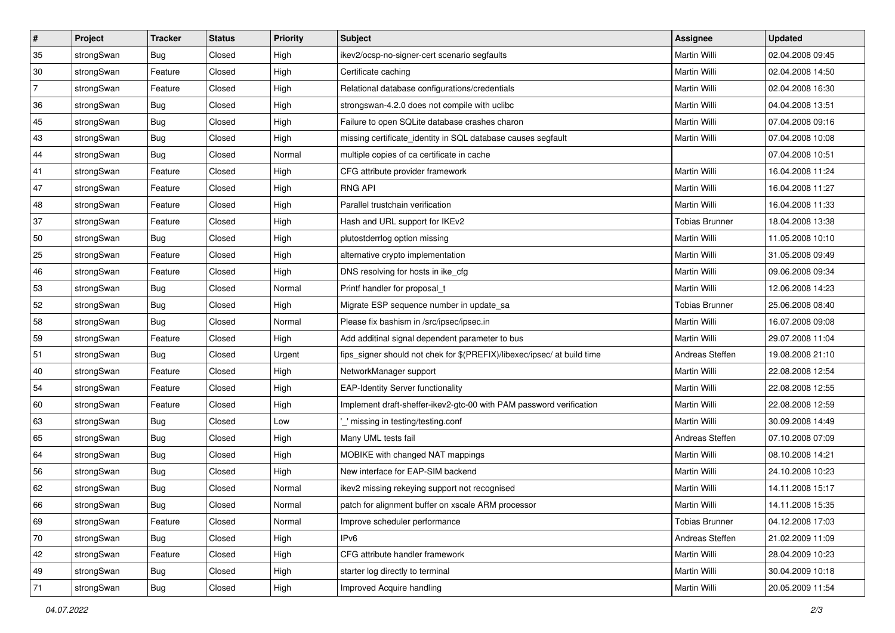| #              | Project    | <b>Tracker</b> | <b>Status</b> | <b>Priority</b> | Subject                                                                 | Assignee              | <b>Updated</b>   |
|----------------|------------|----------------|---------------|-----------------|-------------------------------------------------------------------------|-----------------------|------------------|
| 35             | strongSwan | <b>Bug</b>     | Closed        | High            | ikev2/ocsp-no-signer-cert scenario segfaults                            | Martin Willi          | 02.04.2008 09:45 |
| 30             | strongSwan | Feature        | Closed        | High            | Certificate caching                                                     | Martin Willi          | 02.04.2008 14:50 |
| $\overline{7}$ | strongSwan | Feature        | Closed        | High            | Relational database configurations/credentials                          | Martin Willi          | 02.04.2008 16:30 |
| 36             | strongSwan | Bug            | Closed        | High            | strongswan-4.2.0 does not compile with uclibc                           | Martin Willi          | 04.04.2008 13:51 |
| 45             | strongSwan | Bug            | Closed        | High            | Failure to open SQLite database crashes charon                          | Martin Willi          | 07.04.2008 09:16 |
| 43             | strongSwan | <b>Bug</b>     | Closed        | High            | missing certificate_identity in SQL database causes segfault            | Martin Willi          | 07.04.2008 10:08 |
| 44             | strongSwan | Bug            | Closed        | Normal          | multiple copies of ca certificate in cache                              |                       | 07.04.2008 10:51 |
| 41             | strongSwan | Feature        | Closed        | High            | CFG attribute provider framework                                        | Martin Willi          | 16.04.2008 11:24 |
| 47             | strongSwan | Feature        | Closed        | High            | <b>RNG API</b>                                                          | Martin Willi          | 16.04.2008 11:27 |
| 48             | strongSwan | Feature        | Closed        | High            | Parallel trustchain verification                                        | Martin Willi          | 16.04.2008 11:33 |
| 37             | strongSwan | Feature        | Closed        | High            | Hash and URL support for IKEv2                                          | <b>Tobias Brunner</b> | 18.04.2008 13:38 |
| 50             | strongSwan | Bug            | Closed        | High            | plutostderrlog option missing                                           | Martin Willi          | 11.05.2008 10:10 |
| 25             | strongSwan | Feature        | Closed        | High            | alternative crypto implementation                                       | Martin Willi          | 31.05.2008 09:49 |
| 46             | strongSwan | Feature        | Closed        | High            | DNS resolving for hosts in ike_cfg                                      | Martin Willi          | 09.06.2008 09:34 |
| 53             | strongSwan | <b>Bug</b>     | Closed        | Normal          | Printf handler for proposal_t                                           | Martin Willi          | 12.06.2008 14:23 |
| 52             | strongSwan | <b>Bug</b>     | Closed        | High            | Migrate ESP sequence number in update_sa                                | <b>Tobias Brunner</b> | 25.06.2008 08:40 |
| 58             | strongSwan | Bug            | Closed        | Normal          | Please fix bashism in /src/ipsec/ipsec.in                               | Martin Willi          | 16.07.2008 09:08 |
| 59             | strongSwan | Feature        | Closed        | High            | Add additinal signal dependent parameter to bus                         | <b>Martin Willi</b>   | 29.07.2008 11:04 |
| 51             | strongSwan | Bug            | Closed        | Urgent          | fips_signer should not chek for \$(PREFIX)/libexec/ipsec/ at build time | Andreas Steffen       | 19.08.2008 21:10 |
| 40             | strongSwan | Feature        | Closed        | High            | NetworkManager support                                                  | Martin Willi          | 22.08.2008 12:54 |
| 54             | strongSwan | Feature        | Closed        | High            | <b>EAP-Identity Server functionality</b>                                | Martin Willi          | 22.08.2008 12:55 |
| 60             | strongSwan | Feature        | Closed        | High            | Implement draft-sheffer-ikev2-gtc-00 with PAM password verification     | Martin Willi          | 22.08.2008 12:59 |
| 63             | strongSwan | Bug            | Closed        | Low             | _' missing in testing/testing.conf                                      | Martin Willi          | 30.09.2008 14:49 |
| 65             | strongSwan | Bug            | Closed        | High            | Many UML tests fail                                                     | Andreas Steffen       | 07.10.2008 07:09 |
| 64             | strongSwan | Bug            | Closed        | High            | MOBIKE with changed NAT mappings                                        | Martin Willi          | 08.10.2008 14:21 |
| 56             | strongSwan | Bug            | Closed        | High            | New interface for EAP-SIM backend                                       | Martin Willi          | 24.10.2008 10:23 |
| 62             | strongSwan | Bug            | Closed        | Normal          | ikev2 missing rekeying support not recognised                           | Martin Willi          | 14.11.2008 15:17 |
| 66             | strongSwan | <b>Bug</b>     | Closed        | Normal          | patch for alignment buffer on xscale ARM processor                      | Martin Willi          | 14.11.2008 15:35 |
| 69             | strongSwan | Feature        | Closed        | Normal          | Improve scheduler performance                                           | <b>Tobias Brunner</b> | 04.12.2008 17:03 |
| 70             | strongSwan | Bug            | Closed        | High            | IPv6                                                                    | Andreas Steffen       | 21.02.2009 11:09 |
| 42             | strongSwan | Feature        | Closed        | High            | CFG attribute handler framework                                         | Martin Willi          | 28.04.2009 10:23 |
| 49             | strongSwan | Bug            | Closed        | High            | starter log directly to terminal                                        | Martin Willi          | 30.04.2009 10:18 |
| 71             | strongSwan | <b>Bug</b>     | Closed        | High            | Improved Acquire handling                                               | Martin Willi          | 20.05.2009 11:54 |